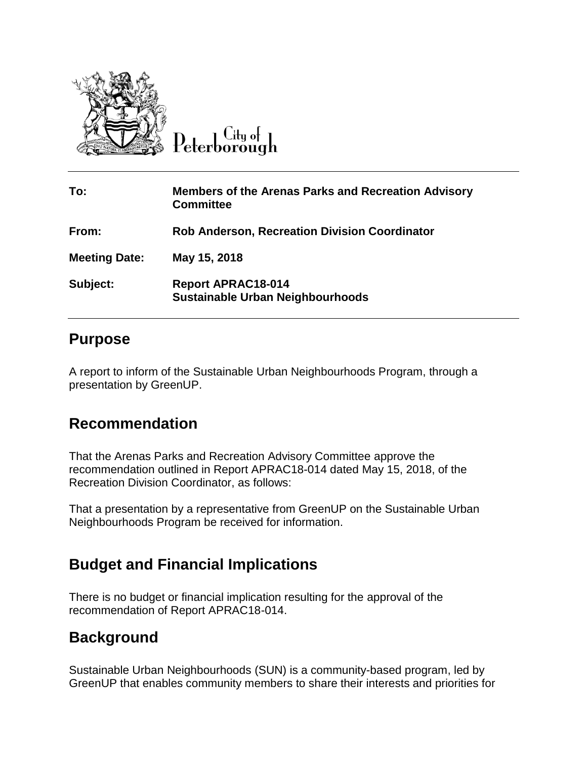

 $Cl$ ty o $\vdash$ 

| To:                  | <b>Members of the Arenas Parks and Recreation Advisory</b><br><b>Committee</b> |
|----------------------|--------------------------------------------------------------------------------|
| From:                | <b>Rob Anderson, Recreation Division Coordinator</b>                           |
| <b>Meeting Date:</b> | May 15, 2018                                                                   |
| Subject:             | <b>Report APRAC18-014</b><br>Sustainable Urban Neighbourhoods                  |

## **Purpose**

A report to inform of the Sustainable Urban Neighbourhoods Program, through a presentation by GreenUP.

## **Recommendation**

That the Arenas Parks and Recreation Advisory Committee approve the recommendation outlined in Report APRAC18-014 dated May 15, 2018, of the Recreation Division Coordinator, as follows:

That a presentation by a representative from GreenUP on the Sustainable Urban Neighbourhoods Program be received for information.

## **Budget and Financial Implications**

There is no budget or financial implication resulting for the approval of the recommendation of Report APRAC18-014.

## **Background**

Sustainable Urban Neighbourhoods (SUN) is a community-based program, led by GreenUP that enables community members to share their interests and priorities for